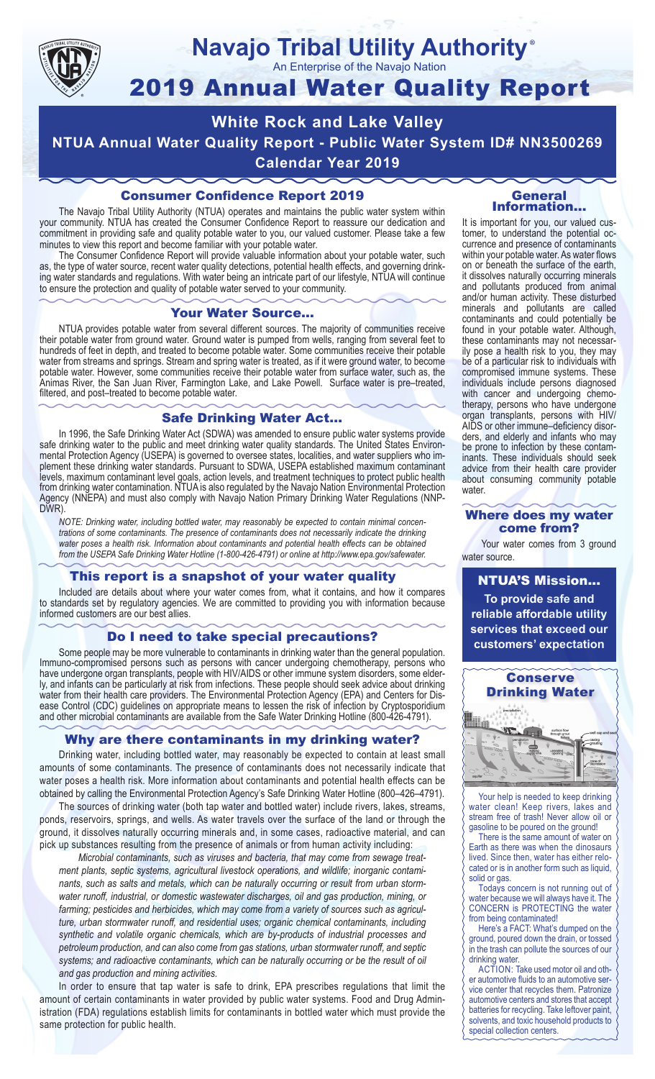

#### **Navajo Tribal Utility Authority** ®

An Enterprise of the Navajo Nation

# 2019 Annual Water Quality Report

**White Rock and Lake Valley NTUA Annual Water Quality Report - Public Water System ID# NN3500269 Calendar Year 2019**

## Consumer Confidence Report 2019

The Navajo Tribal Utility Authority (NTUA) operates and maintains the public water system within your community. NTUA has created the Consumer Confidence Report to reassure our dedication and commitment in providing safe and quality potable water to you, our valued customer. Please take a few minutes to view this report and become familiar with your potable water.

The Consumer Confidence Report will provide valuable information about your potable water, such as, the type of water source, recent water quality detections, potential health effects, and governing drinking water standards and regulations. With water being an intricate part of our lifestyle, NTUA will continue to ensure the protection and quality of potable water served to your community.

#### Your Water Source…

NTUA provides potable water from several different sources. The majority of communities receive their potable water from ground water. Ground water is pumped from wells, ranging from several feet to hundreds of feet in depth, and treated to become potable water. Some communities receive their potable water from streams and springs. Stream and spring water is treated, as if it were ground water, to become potable water. However, some communities receive their potable water from surface water, such as, the Animas River, the San Juan River, Farmington Lake, and Lake Powell. Surface water is pre–treated, filtered, and post–treated to become potable water.

### Safe Drinking Water Act…

In 1996, the Safe Drinking Water Act (SDWA) was amended to ensure public water systems provide safe drinking water to the public and meet drinking water quality standards. The United States Environmental Protection Agency (USEPA) is governed to oversee states, localities, and water suppliers who implement these drinking water standards. Pursuant to SDWA, USEPA established maximum contaminant levels, maximum contaminant level goals, action levels, and treatment techniques to protect public health from drinking water contamination. NTUA is also regulated by the Navajo Nation Environmental Protection Agency (NNEPA) and must also comply with Navajo Nation Primary Drinking Water Regulations (NNP-DWR)

*NOTE: Drinking water, including bottled water, may reasonably be expected to contain minimal concentrations of some contaminants. The presence of contaminants does not necessarily indicate the drinking water poses a health risk. Information about contaminants and potential health effects can be obtained from the USEPA Safe Drinking Water Hotline (1-800-426-4791) or online at http://www.epa.gov/safewater.*

## This report is a snapshot of your water quality

Included are details about where your water comes from, what it contains, and how it compares to standards set by regulatory agencies. We are committed to providing you with information because informed customers are our best allies.

## Do I need to take special precautions?

Some people may be more vulnerable to contaminants in drinking water than the general population. Immuno-compromised persons such as persons with cancer undergoing chemotherapy, persons who have undergone organ transplants, people with HIV/AIDS or other immune system disorders, some elderly, and infants can be particularly at risk from infections. These people should seek advice about drinking water from their health care providers. The Environmental Protection Agency (EPA) and Centers for Disease Control (CDC) guidelines on appropriate means to lessen the risk of infection by Cryptosporidium and other microbial contaminants are available from the Safe Water Drinking Hotline (800-426-4791).

## Why are there contaminants in my drinking water?

Drinking water, including bottled water, may reasonably be expected to contain at least small amounts of some contaminants. The presence of contaminants does not necessarily indicate that water poses a health risk. More information about contaminants and potential health effects can be obtained by calling the Environmental Protection Agency's Safe Drinking Water Hotline (800–426–4791).

The sources of drinking water (both tap water and bottled water) include rivers, lakes, streams, ponds, reservoirs, springs, and wells. As water travels over the surface of the land or through the ground, it dissolves naturally occurring minerals and, in some cases, radioactive material, and can pick up substances resulting from the presence of animals or from human activity including:

*Microbial contaminants, such as viruses and bacteria, that may come from sewage treatment plants, septic systems, agricultural livestock operations, and wildlife; inorganic contaminants, such as salts and metals, which can be naturally occurring or result from urban stormwater runoff, industrial, or domestic wastewater discharges, oil and gas production, mining, or farming; pesticides and herbicides, which may come from a variety of sources such as agriculture, urban stormwater runoff, and residential uses; organic chemical contaminants, including synthetic and volatile organic chemicals, which are by-products of industrial processes and petroleum production, and can also come from gas stations, urban stormwater runoff, and septic systems; and radioactive contaminants, which can be naturally occurring or be the result of oil and gas production and mining activities.*

In order to ensure that tap water is safe to drink, EPA prescribes regulations that limit the amount of certain contaminants in water provided by public water systems. Food and Drug Administration (FDA) regulations establish limits for contaminants in bottled water which must provide the same protection for public health.

#### General Information…

It is important for you, our valued customer, to understand the potential occurrence and presence of contaminants within your potable water. As water flows on or beneath the surface of the earth, it dissolves naturally occurring minerals and pollutants produced from animal and/or human activity. These disturbed minerals and pollutants are called contaminants and could potentially be found in your potable water. Although, these contaminants may not necessarily pose a health risk to you, they may be of a particular risk to individuals with compromised immune systems. These individuals include persons diagnosed with cancer and undergoing chemo-<br>therapy, persons who have undergone organ transplants, persons with HIV/ AIDS or other immune–deficiency disor- ders, and elderly and infants who may be prone to infection by these contam- inants. These individuals should seek advice from their health care provider about consuming community potable water.

#### Where does my water come from?

Your water comes from 3 ground water source.

NTUA'S Mission... **To provide safe and reliable affordable utility services that exceed our customers' expectation**



Your help is needed to keep drinking water clean! Keep rivers, lakes and stream free of trash! Never allow oil or gasoline to be poured on the ground!

There is the same amount of water on Earth as there was when the dinosaurs lived. Since then, water has either relocated or is in another form such as liquid, solid or gas.

Todays concern is not running out of water because we will always have it. The CONCERN is PROTECTING the water from being contaminated!

Here's a FACT: What's dumped on the ground, poured down the drain, or tossed in the trash can pollute the sources of our drinking water.

ACTION: Take used motor oil and other automotive fluids to an automotive service center that recycles them. Patronize automotive centers and stores that accept batteries for recycling. Take leftover paint, solvents, and toxic household products to special collection centers.